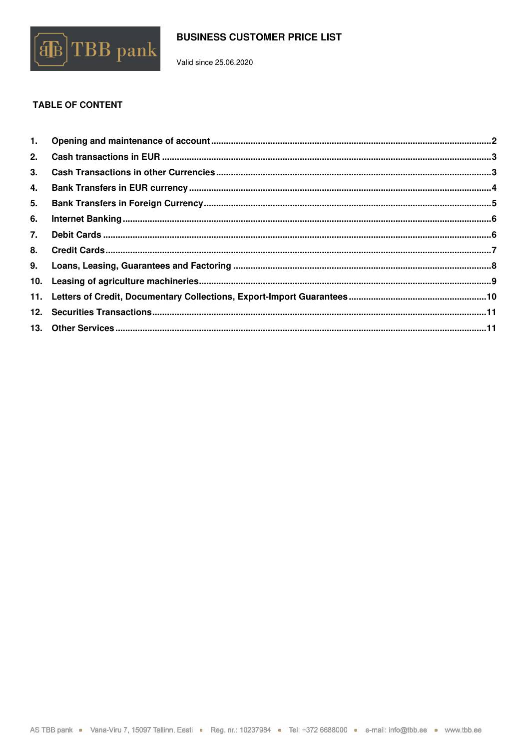

Valid since 25.06.2020

## **TABLE OF CONTENT**

| 4. |  |
|----|--|
|    |  |
| 6. |  |
|    |  |
|    |  |
|    |  |
|    |  |
|    |  |
|    |  |
|    |  |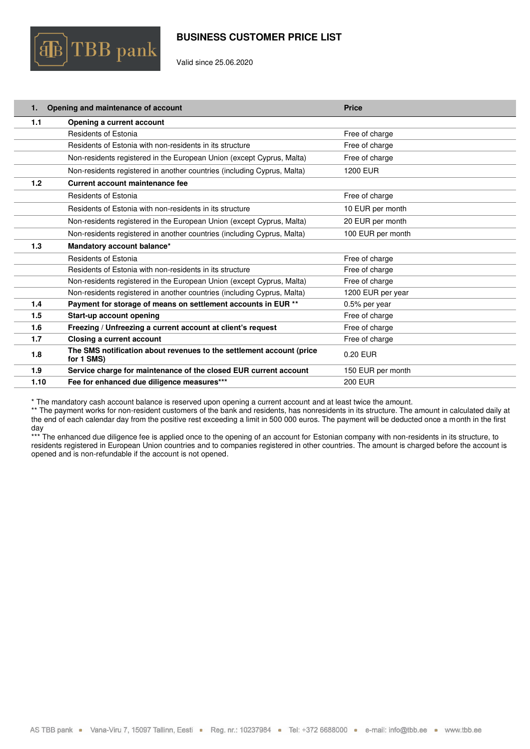

Valid since 25.06.2020

<span id="page-1-0"></span>

| 1.   | Opening and maintenance of account                                                 | <b>Price</b>      |
|------|------------------------------------------------------------------------------------|-------------------|
| 1.1  | Opening a current account                                                          |                   |
|      | <b>Residents of Estonia</b>                                                        | Free of charge    |
|      | Residents of Estonia with non-residents in its structure                           | Free of charge    |
|      | Non-residents registered in the European Union (except Cyprus, Malta)              | Free of charge    |
|      | Non-residents registered in another countries (including Cyprus, Malta)            | 1200 EUR          |
| 1.2  | Current account maintenance fee                                                    |                   |
|      | <b>Residents of Estonia</b>                                                        | Free of charge    |
|      | Residents of Estonia with non-residents in its structure                           | 10 EUR per month  |
|      | Non-residents registered in the European Union (except Cyprus, Malta)              | 20 EUR per month  |
|      | Non-residents registered in another countries (including Cyprus, Malta)            | 100 EUR per month |
| 1.3  | Mandatory account balance*                                                         |                   |
|      | <b>Residents of Estonia</b>                                                        | Free of charge    |
|      | Residents of Estonia with non-residents in its structure                           | Free of charge    |
|      | Non-residents registered in the European Union (except Cyprus, Malta)              | Free of charge    |
|      | Non-residents registered in another countries (including Cyprus, Malta)            | 1200 EUR per year |
| 1.4  | Payment for storage of means on settlement accounts in EUR **                      | 0.5% per year     |
| 1.5  | Start-up account opening                                                           | Free of charge    |
| 1.6  | Freezing / Unfreezing a current account at client's request                        | Free of charge    |
| 1.7  | Closing a current account                                                          | Free of charge    |
| 1.8  | The SMS notification about revenues to the settlement account (price<br>for 1 SMS) | 0.20 EUR          |
| 1.9  | Service charge for maintenance of the closed EUR current account                   | 150 EUR per month |
| 1.10 | Fee for enhanced due diligence measures***                                         | <b>200 EUR</b>    |

\* The mandatory cash account balance is reserved upon opening a current account and at least twice the amount.

\*\* The payment works for non-resident customers of the bank and residents, has nonresidents in its structure. The amount in calculated daily at the end of each calendar day from the positive rest exceeding a limit in 500 000 euros. The payment will be deducted once a month in the first day

\*\*\* The enhanced due diligence fee is applied once to the opening of an account for Estonian company with non-residents in its structure, to residents registered in European Union countries and to companies registered in other countries. The amount is charged before the account is residents registered in other countries. opened and is non-refundable if the account is not opened.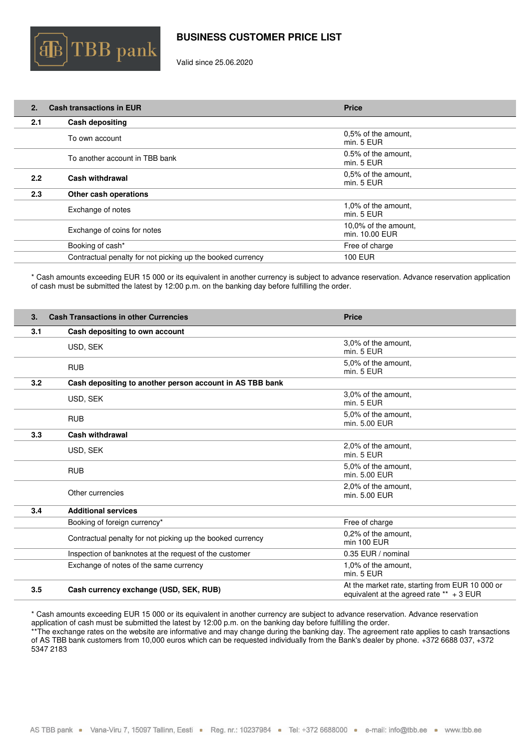

Valid since 25.06.2020

<span id="page-2-0"></span>

| 2.  | <b>Cash transactions in EUR</b>                            | <b>Price</b>                           |
|-----|------------------------------------------------------------|----------------------------------------|
| 2.1 | <b>Cash depositing</b>                                     |                                        |
|     | To own account                                             | 0,5% of the amount,<br>min. 5 EUR      |
|     | To another account in TBB bank                             | 0.5% of the amount,<br>min. 5 EUR      |
| 2.2 | Cash withdrawal                                            | 0,5% of the amount,<br>min. 5 EUR      |
| 2.3 | Other cash operations                                      |                                        |
|     | Exchange of notes                                          | 1,0% of the amount.<br>min. 5 EUR      |
|     | Exchange of coins for notes                                | 10,0% of the amount.<br>min. 10.00 EUR |
|     | Booking of cash*                                           | Free of charge                         |
|     | Contractual penalty for not picking up the booked currency | <b>100 EUR</b>                         |

\* Cash amounts exceeding EUR 15 000 or its equivalent in another currency is subject to advance reservation. Advance reservation application of cash must be submitted the latest by 12:00 p.m. on the banking day before fulfilling the order.

<span id="page-2-1"></span>

| 3.  | <b>Cash Transactions in other Currencies</b>               | <b>Price</b>                                                                                  |
|-----|------------------------------------------------------------|-----------------------------------------------------------------------------------------------|
| 3.1 | Cash depositing to own account                             |                                                                                               |
|     | USD, SEK                                                   | 3,0% of the amount.<br>min. 5 EUR                                                             |
|     | <b>RUB</b>                                                 | 5,0% of the amount.<br>min. 5 EUR                                                             |
| 3.2 | Cash depositing to another person account in AS TBB bank   |                                                                                               |
|     | USD, SEK                                                   | 3,0% of the amount.<br>min. 5 EUR                                                             |
|     | <b>RUB</b>                                                 | 5,0% of the amount.<br>min. 5.00 EUR                                                          |
| 3.3 | Cash withdrawal                                            |                                                                                               |
|     | USD, SEK                                                   | 2,0% of the amount,<br>min. 5 EUR                                                             |
|     | <b>RUB</b>                                                 | 5.0% of the amount.<br>min. 5.00 EUR                                                          |
|     | Other currencies                                           | 2,0% of the amount.<br>min. 5.00 EUR                                                          |
| 3.4 | <b>Additional services</b>                                 |                                                                                               |
|     | Booking of foreign currency*                               | Free of charge                                                                                |
|     | Contractual penalty for not picking up the booked currency | 0.2% of the amount.<br>min 100 EUR                                                            |
|     | Inspection of banknotes at the request of the customer     | 0.35 EUR / nominal                                                                            |
|     | Exchange of notes of the same currency                     | 1,0% of the amount,<br>min. 5 EUR                                                             |
| 3.5 | Cash currency exchange (USD, SEK, RUB)                     | At the market rate, starting from EUR 10 000 or<br>equivalent at the agreed rate $**$ + 3 EUR |

\* Cash amounts exceeding EUR 15 000 or its equivalent in another currency are subject to advance reservation. Advance reservation application of cash must be submitted the latest by 12:00 p.m. on the banking day before fulfilling the order.

\*\* The exchange rates on the website are informative and may change during the banking day. The agreement rate applies to cash transactions of AS TBB bank customers from 10,000 euros which can be requested individually from the Bank's dealer by phone. +372 6688 037, +372 5347 2183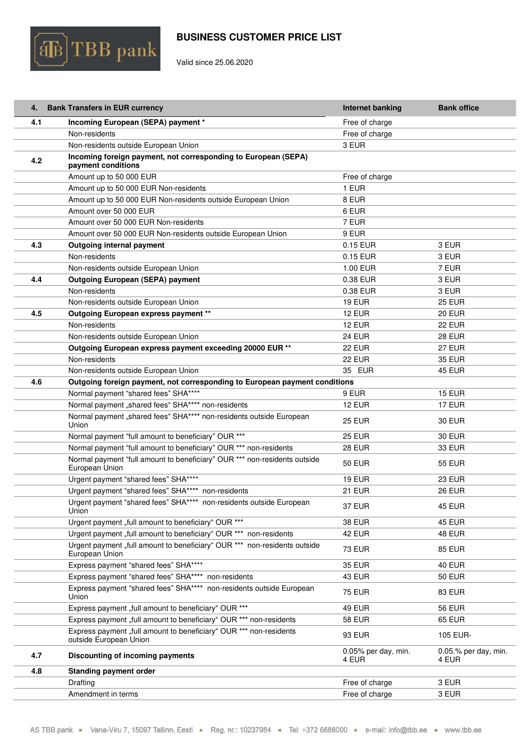

Valid since 25.06.2020

<span id="page-3-0"></span>

|     | 4. Bank Transfers in EUR currency                                                            | Internet banking             | <b>Bank office</b>              |
|-----|----------------------------------------------------------------------------------------------|------------------------------|---------------------------------|
| 4.1 | Incoming European (SEPA) payment *                                                           | Free of charge               |                                 |
|     | Non-residents                                                                                | Free of charge               |                                 |
|     | Non-residents outside European Union                                                         | 3 EUR                        |                                 |
| 4.2 | Incoming foreign payment, not corresponding to European (SEPA)<br>payment conditions         |                              |                                 |
|     | Amount up to 50 000 EUR                                                                      | Free of charge               |                                 |
|     | Amount up to 50 000 EUR Non-residents                                                        | 1 EUR                        |                                 |
|     | Amount up to 50 000 EUR Non-residents outside European Union                                 | 8 EUR                        |                                 |
|     | Amount over 50 000 EUR                                                                       | 6 EUR                        |                                 |
|     | Amount over 50 000 EUR Non-residents                                                         | 7 EUR                        |                                 |
|     | Amount over 50 000 EUR Non-residents outside European Union                                  | 9 EUR                        |                                 |
| 4.3 | <b>Outgoing internal payment</b>                                                             | 0.15 EUR                     | 3 EUR                           |
|     | Non-residents                                                                                | 0.15 EUR                     | 3 EUR                           |
|     | Non-residents outside European Union                                                         | 1.00 EUR                     | 7 EUR                           |
| 4.4 | <b>Outgoing European (SEPA) payment</b>                                                      | 0.38 EUR                     | 3 EUR                           |
|     | Non-residents                                                                                | 0.38 EUR                     | 3 EUR                           |
|     | Non-residents outside European Union                                                         | <b>19 EUR</b>                | <b>25 EUR</b>                   |
| 4.5 | Outgoing European express payment **                                                         | <b>12 EUR</b>                | <b>20 EUR</b>                   |
|     | Non-residents                                                                                | <b>12 EUR</b>                | 22 EUR                          |
|     | Non-residents outside European Union                                                         | <b>24 EUR</b>                | <b>28 EUR</b>                   |
|     | Outgoing European express payment exceeding 20000 EUR **                                     | <b>22 EUR</b>                | <b>27 EUR</b>                   |
|     | Non-residents                                                                                | <b>22 EUR</b>                | <b>35 EUR</b>                   |
|     | Non-residents outside European Union                                                         | 35 EUR                       | <b>45 EUR</b>                   |
| 4.6 | Outgoing foreign payment, not corresponding to European payment conditions                   |                              |                                 |
|     | Normal payment "shared fees" SHA****                                                         | 9 EUR                        | <b>15 EUR</b>                   |
|     | Normal payment "shared fees" SHA**** non-residents                                           | <b>12 EUR</b>                | 17 EUR                          |
|     | Normal payment "shared fees" SHA**** non-residents outside European<br>Union                 | <b>25 EUR</b>                | <b>30 EUR</b>                   |
|     | Normal payment "full amount to beneficiary" OUR ***                                          | <b>25 EUR</b>                | <b>30 EUR</b>                   |
|     | Normal payment "full amount to beneficiary" OUR *** non-residents                            | <b>28 EUR</b>                | <b>33 EUR</b>                   |
|     | Normal payment "full amount to beneficiary" OUR *** non-residents outside<br>European Union  | <b>50 EUR</b>                | 55 EUR                          |
|     | Urgent payment "shared fees" SHA****                                                         | <b>19 EUR</b>                | <b>23 EUR</b>                   |
|     | Urgent payment "shared fees" SHA**** non-residents                                           | <b>21 EUR</b>                | <b>26 EUR</b>                   |
|     | Urgent payment "shared fees" SHA**** non-residents outside European<br>Union                 | <b>37 EUR</b>                | <b>45 EUR</b>                   |
|     | Urgent payment "full amount to beneficiary" OUR ***                                          | <b>38 EUR</b>                | 45 EUR                          |
|     | Urgent payment "full amount to beneficiary" OUR *** non-residents                            | <b>42 EUR</b>                | <b>48 EUR</b>                   |
|     | Urgent payment "full amount to beneficiary" OUR *** non-residents outside<br>European Union  | <b>73 EUR</b>                | <b>85 EUR</b>                   |
|     | Express payment "shared fees" SHA****                                                        | <b>35 EUR</b>                | <b>40 EUR</b>                   |
|     | Express payment "shared fees" SHA**** non-residents                                          | <b>43 EUR</b>                | <b>50 EUR</b>                   |
|     | Express payment "shared fees" SHA**** non-residents outside European<br>Union                | <b>75 EUR</b>                | <b>83 EUR</b>                   |
|     | Express payment "full amount to beneficiary" OUR ***                                         | 49 EUR                       | <b>56 EUR</b>                   |
|     | Express payment "full amount to beneficiary" OUR *** non-residents                           | <b>58 EUR</b>                | <b>65 EUR</b>                   |
|     | Express payment "full amount to beneficiary" OUR *** non-residents<br>outside European Union | <b>93 EUR</b>                | 105 EUR-                        |
| 4.7 | Discounting of incoming payments                                                             | 0.05% per day, min.<br>4 EUR | $0.05$ % per day, min.<br>4 EUR |
| 4.8 | <b>Standing payment order</b>                                                                |                              |                                 |
|     | Drafting                                                                                     | Free of charge               | 3 EUR                           |
|     | Amendment in terms                                                                           | Free of charge               | 3 EUR                           |
|     |                                                                                              |                              |                                 |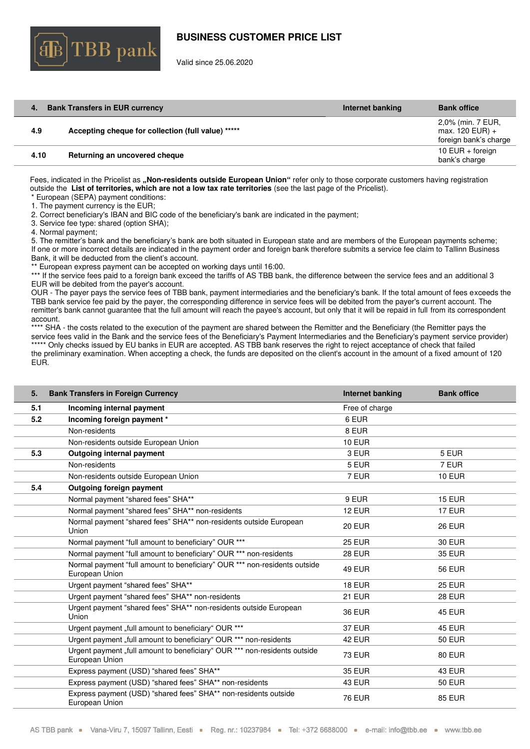

Valid since 25.06.2020

|      | <b>Bank Transfers in EUR currency</b>              | Internet banking | <b>Bank office</b>                                              |
|------|----------------------------------------------------|------------------|-----------------------------------------------------------------|
| 4.9  | Accepting cheque for collection (full value) ***** |                  | 2,0% (min. 7 EUR,<br>$max. 120$ EUR) +<br>foreign bank's charge |
| 4.10 | Returning an uncovered cheque                      |                  | 10 EUR $+$ foreign<br>bank's charge                             |

Fees, indicated in the Pricelist as **"Non-residents outside European Union"** refer only to those corporate customers having registration outside the **List of territories, which are not a low tax rate territories** (see the last page of the Pricelist). \* European (SEPA) payment conditions:

1. The payment currency is the EUR;

2. Correct beneficiary's IBAN and BIC code of the beneficiary's bank are indicated in the payment;

3. Service fee type: shared (option SHA);

4. Normal payment;

5. The remitter's bank and the beneficiary's bank are both situated in European state and are members of the European payments scheme; If one or more incorrect details are indicated in the payment order and foreign bank therefore submits a service fee claim to Tallinn Business Bank, it will be deducted from the client's account.

\*\* European express payment can be accepted on working days until 16:00.

\*\*\* If the service fees paid to a foreign bank exceed the tariffs of AS TBB bank, the difference between the service fees and an additional 3 EUR will be debited from the payer's account.

OUR - The payer pays the service fees of TBB bank, payment intermediaries and the beneficiary's bank. If the total amount of fees exceeds the TBB bank service fee paid by the payer, the corresponding difference in service fees will be debited from the payer's current account. The remitter's bank cannot guarantee that the full amount will reach the payee's account, but only that it will be repaid in full from its correspondent account.

\*\*\*\* SHA - the costs related to the execution of the payment are shared between the Remitter and the Beneficiary (the Remitter pays the service fees valid in the Bank and the service fees of the Beneficiary's Payment Intermediaries and the Beneficiary's payment service provider) \*\*\*\*\* Only checks issued by EU banks in EUR are accepted. AS TBB bank reserves the right to reject acceptance of check that failed the preliminary examination. When accepting a check, the funds are deposited on the client's account in the amount of a fixed amount of 120 EUR.

<span id="page-4-0"></span>

| 5.  | <b>Bank Transfers in Foreign Currency</b>                                                   | <b>Internet banking</b> | <b>Bank office</b> |
|-----|---------------------------------------------------------------------------------------------|-------------------------|--------------------|
| 5.1 | Incoming internal payment                                                                   | Free of charge          |                    |
| 5.2 | Incoming foreign payment *                                                                  | 6 EUR                   |                    |
|     | Non-residents                                                                               | 8 EUR                   |                    |
|     | Non-residents outside European Union                                                        | <b>10 EUR</b>           |                    |
| 5.3 | <b>Outgoing internal payment</b>                                                            | 3 EUR                   | 5 EUR              |
|     | Non-residents                                                                               | 5 EUR                   | 7 EUR              |
|     | Non-residents outside European Union                                                        | 7 EUR                   | <b>10 EUR</b>      |
| 5.4 | <b>Outgoing foreign payment</b>                                                             |                         |                    |
|     | Normal payment "shared fees" SHA**                                                          | 9 EUR                   | <b>15 EUR</b>      |
|     | Normal payment "shared fees" SHA** non-residents                                            | 12 EUR                  | <b>17 EUR</b>      |
|     | Normal payment "shared fees" SHA** non-residents outside European<br>Union                  | <b>20 EUR</b>           | <b>26 EUR</b>      |
|     | Normal payment "full amount to beneficiary" OUR ***                                         | <b>25 EUR</b>           | <b>30 EUR</b>      |
|     | Normal payment "full amount to beneficiary" OUR *** non-residents                           | 28 EUR                  | <b>35 EUR</b>      |
|     | Normal payment "full amount to beneficiary" OUR *** non-residents outside<br>European Union | <b>49 EUR</b>           | <b>56 EUR</b>      |
|     | Urgent payment "shared fees" SHA**                                                          | 18 EUR                  | <b>25 EUR</b>      |
|     | Urgent payment "shared fees" SHA** non-residents                                            | 21 EUR                  | <b>28 EUR</b>      |
|     | Urgent payment "shared fees" SHA** non-residents outside European<br>Union                  | <b>36 EUR</b>           | <b>45 EUR</b>      |
|     | Urgent payment "full amount to beneficiary" OUR ***                                         | 37 EUR                  | <b>45 EUR</b>      |
|     | Urgent payment "full amount to beneficiary" OUR *** non-residents                           | 42 EUR                  | <b>50 EUR</b>      |
|     | Urgent payment "full amount to beneficiary" OUR *** non-residents outside<br>European Union | <b>73 EUR</b>           | 80 EUR             |
|     | Express payment (USD) "shared fees" SHA**                                                   | <b>35 EUR</b>           | 43 EUR             |
|     | Express payment (USD) "shared fees" SHA** non-residents                                     | 43 EUR                  | <b>50 EUR</b>      |
|     | Express payment (USD) "shared fees" SHA** non-residents outside<br>European Union           | <b>76 EUR</b>           | <b>85 EUR</b>      |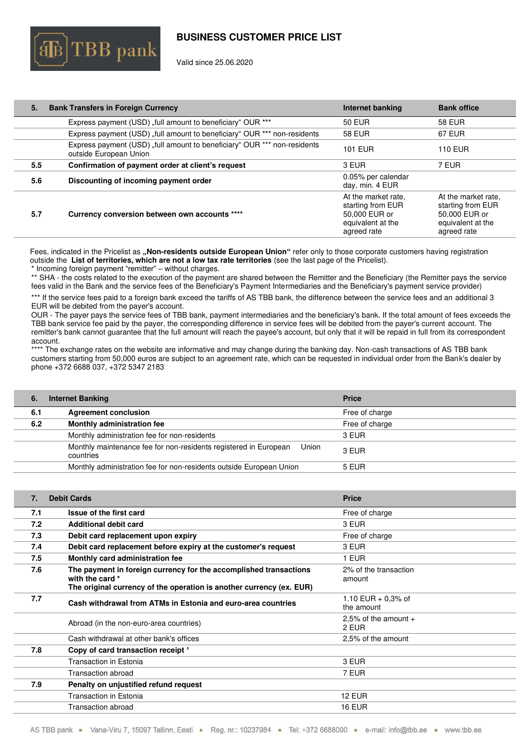

Valid since 25.06.2020

| 5.  | <b>Bank Transfers in Foreign Currency</b>                                                          | Internet banking                                                                              | <b>Bank office</b>                                                                            |
|-----|----------------------------------------------------------------------------------------------------|-----------------------------------------------------------------------------------------------|-----------------------------------------------------------------------------------------------|
|     | Express payment (USD) "full amount to beneficiary" OUR ***                                         | 50 EUR                                                                                        | 58 EUR                                                                                        |
|     | Express payment (USD) "full amount to beneficiary" OUR *** non-residents                           | <b>58 EUR</b>                                                                                 | 67 EUR                                                                                        |
|     | Express payment (USD) "full amount to beneficiary" OUR *** non-residents<br>outside European Union | <b>101 EUR</b>                                                                                | <b>110 EUR</b>                                                                                |
| 5.5 | Confirmation of payment order at client's request                                                  | 3 EUR                                                                                         | 7 EUR                                                                                         |
| 5.6 | Discounting of incoming payment order                                                              | 0.05% per calendar<br>day, min. 4 EUR                                                         |                                                                                               |
| 5.7 | Currency conversion between own accounts ****                                                      | At the market rate.<br>starting from EUR<br>50,000 EUR or<br>equivalent at the<br>agreed rate | At the market rate.<br>starting from EUR<br>50,000 EUR or<br>equivalent at the<br>agreed rate |

Fees, indicated in the Pricelist as **"Non-residents outside European Union"** refer only to those corporate customers having registration outside the **List of territories, which are not a low tax rate territories** (see the last page of the Pricelist).

\* Incoming foreign payment "remitter" – without charges.

\*\* SHA - the costs related to the execution of the payment are shared between the Remitter and the Beneficiary (the Remitter pays the service fees valid in the Bank and the service fees of the Beneficiary's Payment Intermediaries and the Beneficiary's payment service provider)

\*\*\* If the service fees paid to a foreign bank exceed the tariffs of AS TBB bank, the difference between the service fees and an additional 3 EUR will be debited from the payer's account.

OUR - The payer pays the service fees of TBB bank, payment intermediaries and the beneficiary's bank. If the total amount of fees exceeds the TBB bank service fee paid by the payer, the corresponding difference in service fees will be debited from the payer's current account. The remitter's bank cannot guarantee that the full amount will reach the payee's account, but only that it will be repaid in full from its correspondent account.

\*\*\*\* The exchange rates on the website are informative and may change during the banking day. Non-cash transactions of AS TBB bank customers starting from 50,000 euros are subject to an agreement rate, which can be requested in individual order from the Bank's dealer by phone +372 6688 037, +372 5347 2183

<span id="page-5-0"></span>

| 6.  | <b>Internet Banking</b>                                                                | <b>Price</b>   |
|-----|----------------------------------------------------------------------------------------|----------------|
| 6.1 | <b>Agreement conclusion</b>                                                            | Free of charge |
| 6.2 | Monthly administration fee                                                             | Free of charge |
|     | Monthly administration fee for non-residents                                           | 3 EUR          |
|     | Monthly maintenance fee for non-residents registered in European<br>Union<br>countries | 3 EUR          |
|     | Monthly administration fee for non-residents outside European Union                    | 5 EUR          |

<span id="page-5-1"></span>

| 7.  | <b>Debit Cards</b>                                                                                                                                           | <b>Price</b>                       |
|-----|--------------------------------------------------------------------------------------------------------------------------------------------------------------|------------------------------------|
| 7.1 | Issue of the first card                                                                                                                                      | Free of charge                     |
| 7.2 | <b>Additional debit card</b>                                                                                                                                 | 3 EUR                              |
| 7.3 | Debit card replacement upon expiry                                                                                                                           | Free of charge                     |
| 7.4 | Debit card replacement before expiry at the customer's request                                                                                               | 3 EUR                              |
| 7.5 | Monthly card administration fee                                                                                                                              | 1 EUR                              |
| 7.6 | The payment in foreign currency for the accomplished transactions<br>with the card *<br>The original currency of the operation is another currency (ex. EUR) | 2% of the transaction<br>amount    |
| 7.7 | Cash withdrawal from ATMs in Estonia and euro-area countries                                                                                                 | 1.10 EUR $+$ 0.3% of<br>the amount |
|     | Abroad (in the non-euro-area countries)                                                                                                                      | 2,5% of the amount $+$<br>2 EUR    |
|     | Cash withdrawal at other bank's offices                                                                                                                      | 2.5% of the amount                 |
| 7.8 | Copy of card transaction receipt 1                                                                                                                           |                                    |
|     | Transaction in Estonia                                                                                                                                       | 3 EUR                              |
|     | <b>Transaction abroad</b>                                                                                                                                    | 7 EUR                              |
| 7.9 | Penalty on unjustified refund request                                                                                                                        |                                    |
|     | Transaction in Estonia                                                                                                                                       | <b>12 EUR</b>                      |
|     | Transaction abroad                                                                                                                                           | <b>16 EUR</b>                      |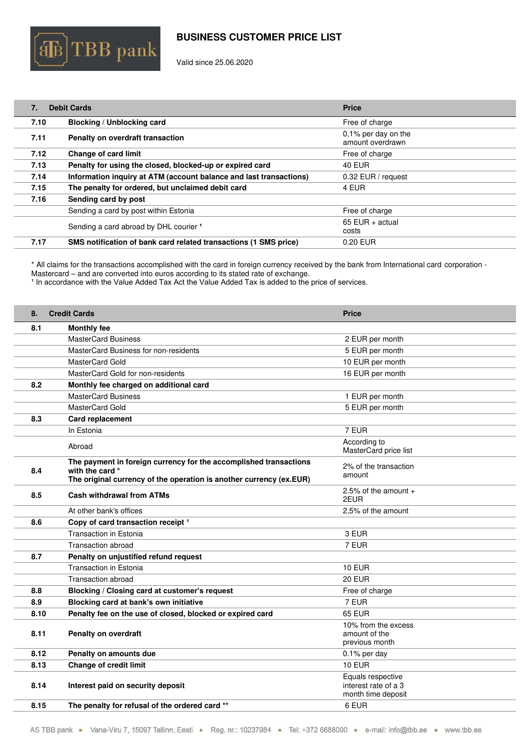

Valid since 25.06.2020

 $\llbracket \mathbf{B}\rrbracket$ TBB pank

| 7.   | <b>Debit Cards</b>                                                 | <b>Price</b>                               |
|------|--------------------------------------------------------------------|--------------------------------------------|
| 7.10 | Blocking / Unblocking card                                         | Free of charge                             |
| 7.11 | Penalty on overdraft transaction                                   | $0.1\%$ per day on the<br>amount overdrawn |
| 7.12 | <b>Change of card limit</b>                                        | Free of charge                             |
| 7.13 | Penalty for using the closed, blocked-up or expired card           | <b>40 EUR</b>                              |
| 7.14 | Information inquiry at ATM (account balance and last transactions) | 0.32 EUR / request                         |
| 7.15 | The penalty for ordered, but unclaimed debit card                  | 4 EUR                                      |
| 7.16 | Sending card by post                                               |                                            |
|      | Sending a card by post within Estonia                              | Free of charge                             |
|      | Sending a card abroad by DHL courier 1                             | $65$ EUR + actual<br>costs                 |
| 7.17 | SMS notification of bank card related transactions (1 SMS price)   | 0.20 EUR                                   |

\* All claims for the transactions accomplished with the card in foreign currency received by the bank from International card corporation - Mastercard – and are converted into euros according to its stated rate of exchange.

<sup>1</sup> In accordance with the Value Added Tax Act the Value Added Tax is added to the price of services.

<span id="page-6-0"></span>

| 8.   | <b>Credit Cards</b>                                                                    | <b>Price</b>                                                    |
|------|----------------------------------------------------------------------------------------|-----------------------------------------------------------------|
| 8.1  | <b>Monthly fee</b>                                                                     |                                                                 |
|      | <b>MasterCard Business</b>                                                             | 2 EUR per month                                                 |
|      | MasterCard Business for non-residents                                                  | 5 EUR per month                                                 |
|      | MasterCard Gold                                                                        | 10 EUR per month                                                |
|      | MasterCard Gold for non-residents                                                      | 16 EUR per month                                                |
| 8.2  | Monthly fee charged on additional card                                                 |                                                                 |
|      | <b>MasterCard Business</b>                                                             | 1 EUR per month                                                 |
|      | MasterCard Gold                                                                        | 5 EUR per month                                                 |
| 8.3  | <b>Card replacement</b>                                                                |                                                                 |
|      | In Estonia                                                                             | 7 EUR                                                           |
|      | Abroad                                                                                 | According to<br>MasterCard price list                           |
|      | The payment in foreign currency for the accomplished transactions                      | 2% of the transaction                                           |
| 8.4  | with the card *<br>The original currency of the operation is another currency (ex.EUR) | amount                                                          |
| 8.5  | <b>Cash withdrawal from ATMs</b>                                                       | 2.5% of the amount $+$<br>2EUR                                  |
|      | At other bank's offices                                                                | 2.5% of the amount                                              |
| 8.6  | Copy of card transaction receipt <sup>1</sup>                                          |                                                                 |
|      | Transaction in Estonia                                                                 | 3 EUR                                                           |
|      | Transaction abroad                                                                     | 7 EUR                                                           |
| 8.7  | Penalty on unjustified refund request                                                  |                                                                 |
|      | Transaction in Estonia                                                                 | <b>10 EUR</b>                                                   |
|      | Transaction abroad                                                                     | <b>20 EUR</b>                                                   |
| 8.8  | Blocking / Closing card at customer's request                                          | Free of charge                                                  |
| 8.9  | Blocking card at bank's own initiative                                                 | 7 EUR                                                           |
| 8.10 | Penalty fee on the use of closed, blocked or expired card                              | 65 EUR                                                          |
| 8.11 | <b>Penalty on overdraft</b>                                                            | 10% from the excess<br>amount of the<br>previous month          |
| 8.12 | Penalty on amounts due                                                                 | $0.1\%$ per day                                                 |
| 8.13 | <b>Change of credit limit</b>                                                          | <b>10 EUR</b>                                                   |
| 8.14 | Interest paid on security deposit                                                      | Equals respective<br>interest rate of a 3<br>month time deposit |
| 8.15 | The penalty for refusal of the ordered card **                                         | 6 EUR                                                           |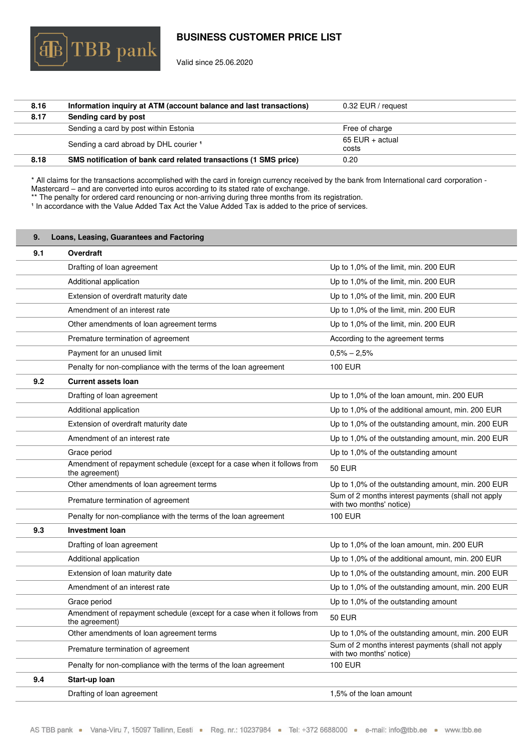Valid since 25.06.2020

 $\mathbb{B}|\text{TBB}$  pank

| 8.16 | Information inquiry at ATM (account balance and last transactions) | 0.32 EUR / request       |
|------|--------------------------------------------------------------------|--------------------------|
| 8.17 | Sending card by post                                               |                          |
|      | Sending a card by post within Estonia                              | Free of charge           |
|      | Sending a card abroad by DHL courier 1                             | 65 EUR + actual<br>costs |
| 8.18 | SMS notification of bank card related transactions (1 SMS price)   | 0.20                     |

\* All claims for the transactions accomplished with the card in foreign currency received by the bank from International card corporation - Mastercard – and are converted into euros according to its stated rate of exchange.

\*\* The penalty for ordered card renouncing or non-arriving during three months from its registration.

 $^\text{1}$  In accordance with the Value Added Tax Act the Value Added Tax is added to the price of services.

<span id="page-7-0"></span>

| 9.  | Loans, Leasing, Guarantees and Factoring                                                  |                                                                                |
|-----|-------------------------------------------------------------------------------------------|--------------------------------------------------------------------------------|
| 9.1 | Overdraft                                                                                 |                                                                                |
|     | Drafting of loan agreement                                                                | Up to 1,0% of the limit, min. 200 EUR                                          |
|     | Additional application                                                                    | Up to 1,0% of the limit, min. 200 EUR                                          |
|     | Extension of overdraft maturity date                                                      | Up to 1,0% of the limit, min. 200 EUR                                          |
|     | Amendment of an interest rate                                                             | Up to 1,0% of the limit, min. 200 EUR                                          |
|     | Other amendments of loan agreement terms                                                  | Up to 1,0% of the limit, min. 200 EUR                                          |
|     | Premature termination of agreement                                                        | According to the agreement terms                                               |
|     | Payment for an unused limit                                                               | $0,5% - 2,5%$                                                                  |
|     | Penalty for non-compliance with the terms of the loan agreement                           | <b>100 EUR</b>                                                                 |
| 9.2 | <b>Current assets loan</b>                                                                |                                                                                |
|     | Drafting of loan agreement                                                                | Up to 1,0% of the loan amount, min. 200 EUR                                    |
|     | Additional application                                                                    | Up to 1,0% of the additional amount, min. 200 EUR                              |
|     | Extension of overdraft maturity date                                                      | Up to 1,0% of the outstanding amount, min. 200 EUR                             |
|     | Amendment of an interest rate                                                             | Up to 1,0% of the outstanding amount, min. 200 EUR                             |
|     | Grace period                                                                              | Up to 1,0% of the outstanding amount                                           |
|     | Amendment of repayment schedule (except for a case when it follows from<br>the agreement) | <b>50 EUR</b>                                                                  |
|     | Other amendments of loan agreement terms                                                  | Up to 1,0% of the outstanding amount, min. 200 EUR                             |
|     | Premature termination of agreement                                                        | Sum of 2 months interest payments (shall not apply<br>with two months' notice) |
|     | Penalty for non-compliance with the terms of the loan agreement                           | <b>100 EUR</b>                                                                 |
| 9.3 | <b>Investment loan</b>                                                                    |                                                                                |
|     | Drafting of loan agreement                                                                | Up to 1,0% of the loan amount, min. 200 EUR                                    |
|     | Additional application                                                                    | Up to 1,0% of the additional amount, min. 200 EUR                              |
|     | Extension of loan maturity date                                                           | Up to 1,0% of the outstanding amount, min. 200 EUR                             |
|     | Amendment of an interest rate                                                             | Up to 1,0% of the outstanding amount, min. 200 EUR                             |
|     | Grace period                                                                              | Up to 1,0% of the outstanding amount                                           |
|     | Amendment of repayment schedule (except for a case when it follows from<br>the agreement) | <b>50 EUR</b>                                                                  |
|     | Other amendments of loan agreement terms                                                  | Up to 1,0% of the outstanding amount, min. 200 EUR                             |
|     | Premature termination of agreement                                                        | Sum of 2 months interest payments (shall not apply<br>with two months' notice) |
|     | Penalty for non-compliance with the terms of the loan agreement                           | <b>100 EUR</b>                                                                 |
| 9.4 | Start-up loan                                                                             |                                                                                |
|     | Drafting of loan agreement                                                                | 1,5% of the loan amount                                                        |
|     |                                                                                           |                                                                                |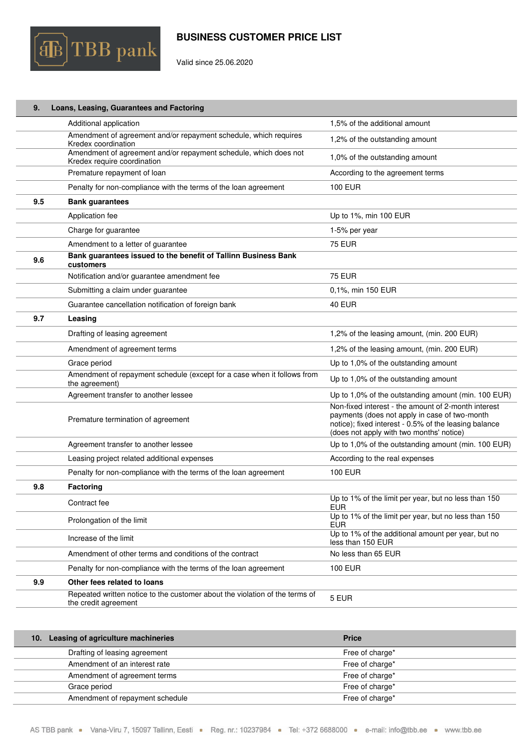

Valid since 25.06.2020

| 9.  | Loans, Leasing, Guarantees and Factoring                                                            |                                                                                                                                                                                                           |
|-----|-----------------------------------------------------------------------------------------------------|-----------------------------------------------------------------------------------------------------------------------------------------------------------------------------------------------------------|
|     | Additional application                                                                              | 1,5% of the additional amount                                                                                                                                                                             |
|     | Amendment of agreement and/or repayment schedule, which requires<br>Kredex coordination             | 1,2% of the outstanding amount                                                                                                                                                                            |
|     | Amendment of agreement and/or repayment schedule, which does not<br>Kredex require coordination     | 1,0% of the outstanding amount                                                                                                                                                                            |
|     | Premature repayment of loan                                                                         | According to the agreement terms                                                                                                                                                                          |
|     | Penalty for non-compliance with the terms of the loan agreement                                     | <b>100 EUR</b>                                                                                                                                                                                            |
| 9.5 | <b>Bank guarantees</b>                                                                              |                                                                                                                                                                                                           |
|     | Application fee                                                                                     | Up to 1%, min 100 EUR                                                                                                                                                                                     |
|     | Charge for guarantee                                                                                | 1-5% per year                                                                                                                                                                                             |
|     | Amendment to a letter of guarantee                                                                  | <b>75 EUR</b>                                                                                                                                                                                             |
| 9.6 | Bank guarantees issued to the benefit of Tallinn Business Bank<br>customers                         |                                                                                                                                                                                                           |
|     | Notification and/or guarantee amendment fee                                                         | <b>75 EUR</b>                                                                                                                                                                                             |
|     | Submitting a claim under guarantee                                                                  | 0,1%, min 150 EUR                                                                                                                                                                                         |
|     | Guarantee cancellation notification of foreign bank                                                 | <b>40 EUR</b>                                                                                                                                                                                             |
| 9.7 | Leasing                                                                                             |                                                                                                                                                                                                           |
|     | Drafting of leasing agreement                                                                       | 1,2% of the leasing amount, (min. 200 EUR)                                                                                                                                                                |
|     | Amendment of agreement terms                                                                        | 1,2% of the leasing amount, (min. 200 EUR)                                                                                                                                                                |
|     | Grace period                                                                                        | Up to 1,0% of the outstanding amount                                                                                                                                                                      |
|     | Amendment of repayment schedule (except for a case when it follows from<br>the agreement)           | Up to 1,0% of the outstanding amount                                                                                                                                                                      |
|     | Agreement transfer to another lessee                                                                | Up to 1,0% of the outstanding amount (min. 100 EUR)                                                                                                                                                       |
|     | Premature termination of agreement                                                                  | Non-fixed interest - the amount of 2-month interest<br>payments (does not apply in case of two-month<br>notice); fixed interest - 0.5% of the leasing balance<br>(does not apply with two months' notice) |
|     | Agreement transfer to another lessee                                                                | Up to 1,0% of the outstanding amount (min. 100 EUR)                                                                                                                                                       |
|     | Leasing project related additional expenses                                                         | According to the real expenses                                                                                                                                                                            |
|     | Penalty for non-compliance with the terms of the loan agreement                                     | <b>100 EUR</b>                                                                                                                                                                                            |
| 9.8 | Factoring                                                                                           |                                                                                                                                                                                                           |
|     | Contract fee                                                                                        | Up to 1% of the limit per year, but no less than 150<br><b>EUR</b>                                                                                                                                        |
|     | Prolongation of the limit                                                                           | Up to 1% of the limit per year, but no less than 150<br><b>EUR</b>                                                                                                                                        |
|     | Increase of the limit                                                                               | Up to 1% of the additional amount per year, but no<br>less than 150 EUR                                                                                                                                   |
|     | Amendment of other terms and conditions of the contract                                             | No less than 65 EUR                                                                                                                                                                                       |
|     | Penalty for non-compliance with the terms of the loan agreement                                     | 100 EUR                                                                                                                                                                                                   |
| 9.9 | Other fees related to loans                                                                         |                                                                                                                                                                                                           |
|     | Repeated written notice to the customer about the violation of the terms of<br>the credit agreement | 5 EUR                                                                                                                                                                                                     |

<span id="page-8-0"></span>

| 10. Leasing of agriculture machineries | <b>Price</b>    |
|----------------------------------------|-----------------|
| Drafting of leasing agreement          | Free of charge* |
| Amendment of an interest rate          | Free of charge* |
| Amendment of agreement terms           | Free of charge* |
| Grace period                           | Free of charge* |
| Amendment of repayment schedule        | Free of charge* |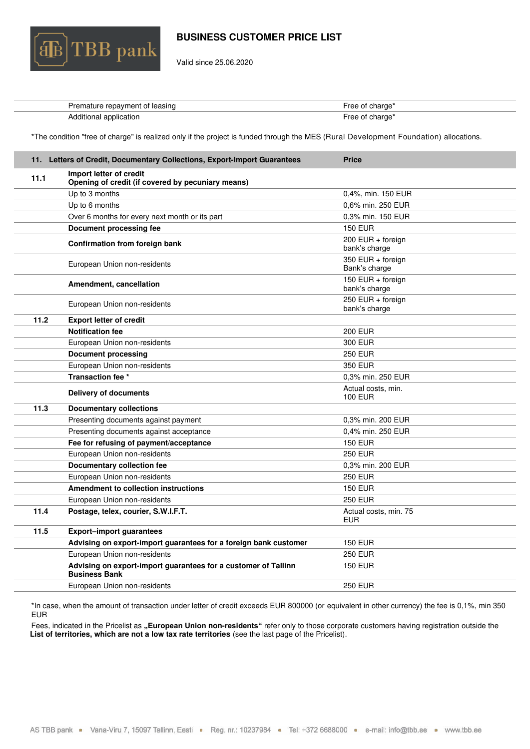

Valid since 25.06.2020

| Premature repayment of leasing | -ree of charge' |
|--------------------------------|-----------------|
| Additional application         | -ree of charge' |

\*The condition "free of charge" is realized only if the project is funded through the MES (Rural Development Foundation) allocations.

<span id="page-9-0"></span>

| 11. Letters of Credit, Documentary Collections, Export-Import Guarantees               | <b>Price</b>                         |
|----------------------------------------------------------------------------------------|--------------------------------------|
| Import letter of credit<br>Opening of credit (if covered by pecuniary means)           |                                      |
| Up to 3 months                                                                         | 0,4%, min. 150 EUR                   |
| Up to 6 months                                                                         | 0.6% min. 250 EUR                    |
| Over 6 months for every next month or its part                                         | 0.3% min. 150 EUR                    |
| <b>Document processing fee</b>                                                         | <b>150 EUR</b>                       |
| Confirmation from foreign bank                                                         | 200 EUR + foreign<br>bank's charge   |
| European Union non-residents                                                           | 350 EUR + foreign<br>Bank's charge   |
| Amendment, cancellation                                                                | 150 EUR + foreign<br>bank's charge   |
| European Union non-residents                                                           | 250 EUR + foreign<br>bank's charge   |
| <b>Export letter of credit</b>                                                         |                                      |
| <b>Notification fee</b>                                                                | <b>200 EUR</b>                       |
| European Union non-residents                                                           | 300 EUR                              |
| <b>Document processing</b>                                                             | 250 EUR                              |
| European Union non-residents                                                           | 350 EUR                              |
| Transaction fee *                                                                      | 0.3% min. 250 EUR                    |
| Delivery of documents                                                                  | Actual costs, min.<br><b>100 EUR</b> |
| <b>Documentary collections</b>                                                         |                                      |
| Presenting documents against payment                                                   | 0.3% min. 200 EUR                    |
| Presenting documents against acceptance                                                | 0.4% min. 250 EUR                    |
| Fee for refusing of payment/acceptance                                                 | <b>150 EUR</b>                       |
| European Union non-residents                                                           | <b>250 EUR</b>                       |
| Documentary collection fee                                                             | 0.3% min. 200 EUR                    |
| European Union non-residents                                                           | <b>250 EUR</b>                       |
| <b>Amendment to collection instructions</b>                                            | <b>150 EUR</b>                       |
| European Union non-residents                                                           | <b>250 EUR</b>                       |
| Postage, telex, courier, S.W.I.F.T.                                                    | Actual costs, min. 75<br><b>EUR</b>  |
| <b>Export-import guarantees</b>                                                        |                                      |
| Advising on export-import guarantees for a foreign bank customer                       | <b>150 EUR</b>                       |
| European Union non-residents                                                           | <b>250 EUR</b>                       |
| Advising on export-import guarantees for a customer of Tallinn<br><b>Business Bank</b> | <b>150 EUR</b>                       |
| European Union non-residents                                                           | <b>250 EUR</b>                       |
|                                                                                        |                                      |

\*In case, when the amount of transaction under letter of credit exceeds EUR 800000 (or equivalent in other currency) the fee is 0,1%, min 350 EUR

Fees, indicated in the Pricelist as "European Union non-residents" refer only to those corporate customers having registration outside the **List of territories, which are not a low tax rate territories** (see the last page of the Pricelist).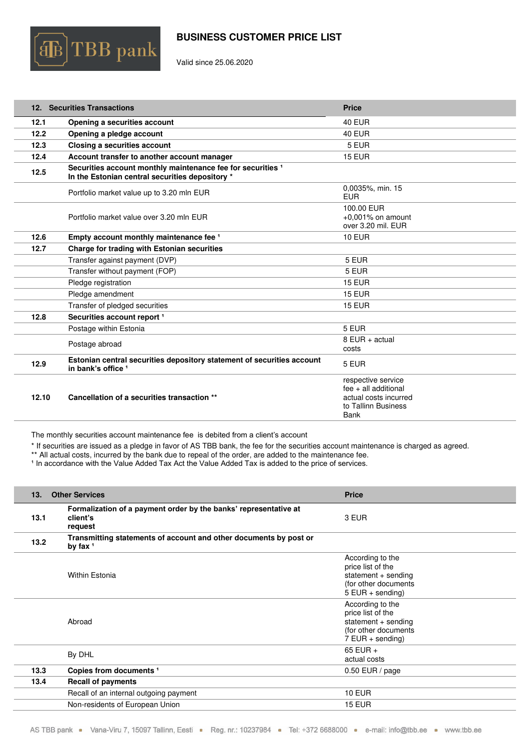

Valid since 25.06.2020

<span id="page-10-0"></span>

|       | 12. Securities Transactions                                                                                               | <b>Price</b>                                                                                                |
|-------|---------------------------------------------------------------------------------------------------------------------------|-------------------------------------------------------------------------------------------------------------|
| 12.1  | Opening a securities account                                                                                              | <b>40 EUR</b>                                                                                               |
| 12.2  | Opening a pledge account                                                                                                  | <b>40 EUR</b>                                                                                               |
| 12.3  | Closing a securities account                                                                                              | 5 EUR                                                                                                       |
| 12.4  | Account transfer to another account manager                                                                               | <b>15 EUR</b>                                                                                               |
| 12.5  | Securities account monthly maintenance fee for securities <sup>1</sup><br>In the Estonian central securities depository * |                                                                                                             |
|       | Portfolio market value up to 3.20 mln EUR                                                                                 | 0,0035%, min. 15<br><b>EUR</b>                                                                              |
|       | Portfolio market value over 3.20 mln EUR                                                                                  | 100.00 EUR<br>$+0.001\%$ on amount<br>over 3.20 mil. EUR                                                    |
| 12.6  | Empty account monthly maintenance fee 1                                                                                   | <b>10 EUR</b>                                                                                               |
| 12.7  | Charge for trading with Estonian securities                                                                               |                                                                                                             |
|       | Transfer against payment (DVP)                                                                                            | 5 EUR                                                                                                       |
|       | Transfer without payment (FOP)                                                                                            | 5 EUR                                                                                                       |
|       | Pledge registration                                                                                                       | <b>15 EUR</b>                                                                                               |
|       | Pledge amendment                                                                                                          | <b>15 EUR</b>                                                                                               |
|       | Transfer of pledged securities                                                                                            | <b>15 EUR</b>                                                                                               |
| 12.8  | Securities account report <sup>1</sup>                                                                                    |                                                                                                             |
|       | Postage within Estonia                                                                                                    | 5 EUR                                                                                                       |
|       | Postage abroad                                                                                                            | 8 EUR + actual<br>costs                                                                                     |
| 12.9  | Estonian central securities depository statement of securities account<br>in bank's office 1                              | 5 EUR                                                                                                       |
| 12.10 | Cancellation of a securities transaction **                                                                               | respective service<br>$fee + all additional$<br>actual costs incurred<br>to Tallinn Business<br><b>Bank</b> |

The monthly securities account maintenance fee is debited from a client's account

\* If securities are issued as a pledge in favor of AS TBB bank, the fee for the securities account maintenance is charged as agreed.

\*\* All actual costs, incurred by the bank due to repeal of the order, are added to the maintenance fee.

<sup>1</sup> In accordance with the Value Added Tax Act the Value Added Tax is added to the price of services.

<span id="page-10-1"></span>

| 13.  | <b>Other Services</b>                                                                   | <b>Price</b>                                                                                                 |
|------|-----------------------------------------------------------------------------------------|--------------------------------------------------------------------------------------------------------------|
| 13.1 | Formalization of a payment order by the banks' representative at<br>client's<br>request | 3 EUR                                                                                                        |
| 13.2 | Transmitting statements of account and other documents by post or<br>by fax $1$         |                                                                                                              |
|      | Within Estonia                                                                          | According to the<br>price list of the<br>statement + sending<br>(for other documents<br>$5$ EUR + sending)   |
|      | Abroad                                                                                  | According to the<br>price list of the<br>statement $+$ sending<br>(for other documents<br>$7$ EUR + sending) |
|      | By DHL                                                                                  | 65 EUR $+$<br>actual costs                                                                                   |
| 13.3 | Copies from documents <sup>1</sup>                                                      | $0.50$ EUR / page                                                                                            |
| 13.4 | <b>Recall of payments</b>                                                               |                                                                                                              |
|      | Recall of an internal outgoing payment                                                  | <b>10 EUR</b>                                                                                                |
|      | Non-residents of European Union                                                         | <b>15 EUR</b>                                                                                                |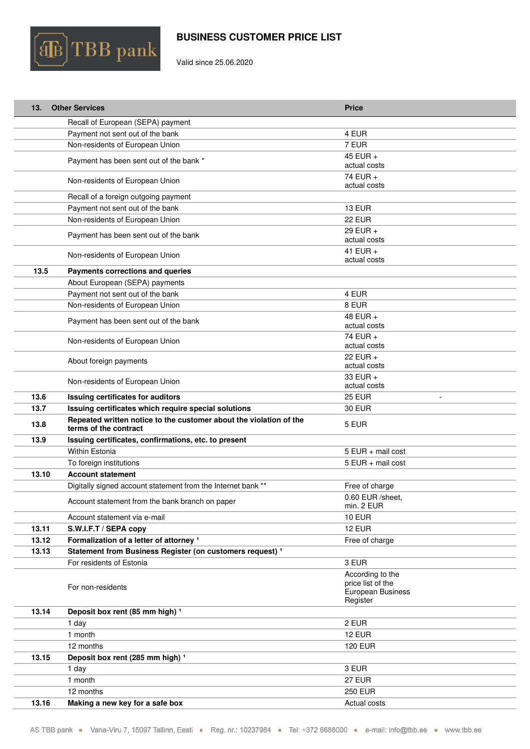

Valid since 25.06.2020

| 13.   | <b>Other Services</b>                                                                       | <b>Price</b>                          |
|-------|---------------------------------------------------------------------------------------------|---------------------------------------|
|       | Recall of European (SEPA) payment                                                           |                                       |
|       | Payment not sent out of the bank                                                            | 4 EUR                                 |
|       | Non-residents of European Union                                                             | 7 EUR                                 |
|       | Payment has been sent out of the bank *                                                     | 45 EUR +<br>actual costs              |
|       | Non-residents of European Union                                                             | 74 EUR +<br>actual costs              |
|       | Recall of a foreign outgoing payment                                                        |                                       |
|       | Payment not sent out of the bank                                                            | 13 EUR                                |
|       | Non-residents of European Union                                                             | 22 EUR                                |
|       | Payment has been sent out of the bank                                                       | 29 EUR $+$<br>actual costs            |
|       | Non-residents of European Union                                                             | 41 EUR $+$<br>actual costs            |
| 13.5  | Payments corrections and queries                                                            |                                       |
|       | About European (SEPA) payments                                                              |                                       |
|       | Payment not sent out of the bank                                                            | 4 EUR                                 |
|       | Non-residents of European Union                                                             | 8 EUR                                 |
|       | Payment has been sent out of the bank                                                       | 48 EUR +<br>actual costs              |
|       | Non-residents of European Union                                                             | 74 EUR +<br>actual costs              |
|       | About foreign payments                                                                      | 22 EUR +<br>actual costs              |
|       | Non-residents of European Union                                                             | 33 EUR +<br>actual costs              |
| 13.6  | Issuing certificates for auditors                                                           | <b>25 EUR</b>                         |
| 13.7  | Issuing certificates which require special solutions                                        | 30 EUR                                |
| 13.8  | Repeated written notice to the customer about the violation of the<br>terms of the contract | 5 EUR                                 |
| 13.9  | Issuing certificates, confirmations, etc. to present                                        |                                       |
|       | Within Estonia                                                                              | 5 EUR + mail cost                     |
|       | To foreign institutions                                                                     | 5 EUR + mail cost                     |
| 13.10 | <b>Account statement</b>                                                                    |                                       |
|       | Digitally signed account statement from the Internet bank **                                | Free of charge                        |
|       | Account statement from the bank branch on paper                                             | 0.60 EUR /sheet.<br>min. 2 EUR        |
|       | Account statement via e-mail                                                                | <b>10 EUR</b>                         |
| 13.11 | S.W.I.F.T / SEPA copy                                                                       | <b>12 EUR</b>                         |
| 13.12 | Formalization of a letter of attorney <sup>1</sup>                                          | Free of charge                        |
| 13.13 | Statement from Business Register (on customers request) <sup>1</sup>                        |                                       |
|       | For residents of Estonia                                                                    | 3 EUR                                 |
|       |                                                                                             | According to the<br>price list of the |
|       | For non-residents                                                                           | European Business                     |
|       |                                                                                             | Register                              |
| 13.14 | Deposit box rent (85 mm high) <sup>1</sup>                                                  |                                       |
|       | 1 day                                                                                       | 2 EUR                                 |
|       | 1 month                                                                                     | <b>12 EUR</b>                         |
|       | 12 months                                                                                   | <b>120 EUR</b>                        |
| 13.15 | Deposit box rent (285 mm high) <sup>1</sup>                                                 |                                       |
|       | 1 day                                                                                       | 3 EUR                                 |
|       | 1 month                                                                                     | <b>27 EUR</b>                         |
|       | 12 months                                                                                   | <b>250 EUR</b>                        |
| 13.16 | Making a new key for a safe box                                                             | Actual costs                          |